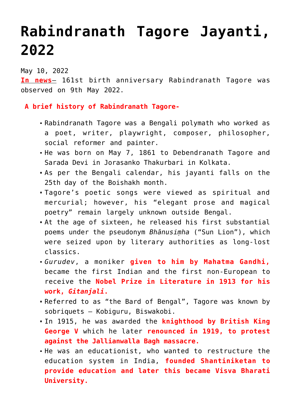## **[Rabindranath Tagore Jayanti,](https://journalsofindia.com/rabindranath-tagore-jayanti-2022/) [2022](https://journalsofindia.com/rabindranath-tagore-jayanti-2022/)**

May 10, 2022

**In news**– 161st birth anniversary Rabindranath Tagore was observed on 9th May 2022.

 **A brief history of Rabindranath Tagore-**

- Rabindranath Tagore was a Bengali polymath who worked as a poet, writer, playwright, composer, philosopher, social reformer and painter.
- He was born on May 7, 1861 to Debendranath Tagore and Sarada Devi in Jorasanko Thakurbari in Kolkata.
- As per the Bengali calendar, his jayanti falls on the 25th day of the Boishakh month.
- Tagore's poetic songs were viewed as spiritual and mercurial; however, his "elegant prose and magical poetry" remain largely unknown outside Bengal.
- At the age of sixteen, he released his first substantial poems under the pseudonym *Bhānusiṃha* ("Sun Lion"), which were seized upon by literary authorities as long-lost classics.
- *Gurudev*, a moniker **given to him by Mahatma Gandhi,** became the first Indian and the first non-European to receive the **Nobel Prize in Literature in 1913 for his work,** *Gitanjali***.**
- Referred to as "the Bard of Bengal", Tagore was known by sobriquets – Kobiguru, Biswakobi.
- In 1915, he was awarded the **knighthood by British King George V** which he later **renounced in 1919, to protest against the Jallianwalla Bagh massacre.**
- He was an educationist, who wanted to restructure the education system in India, **founded Shantiniketan to provide education and later this became Visva Bharati University.**